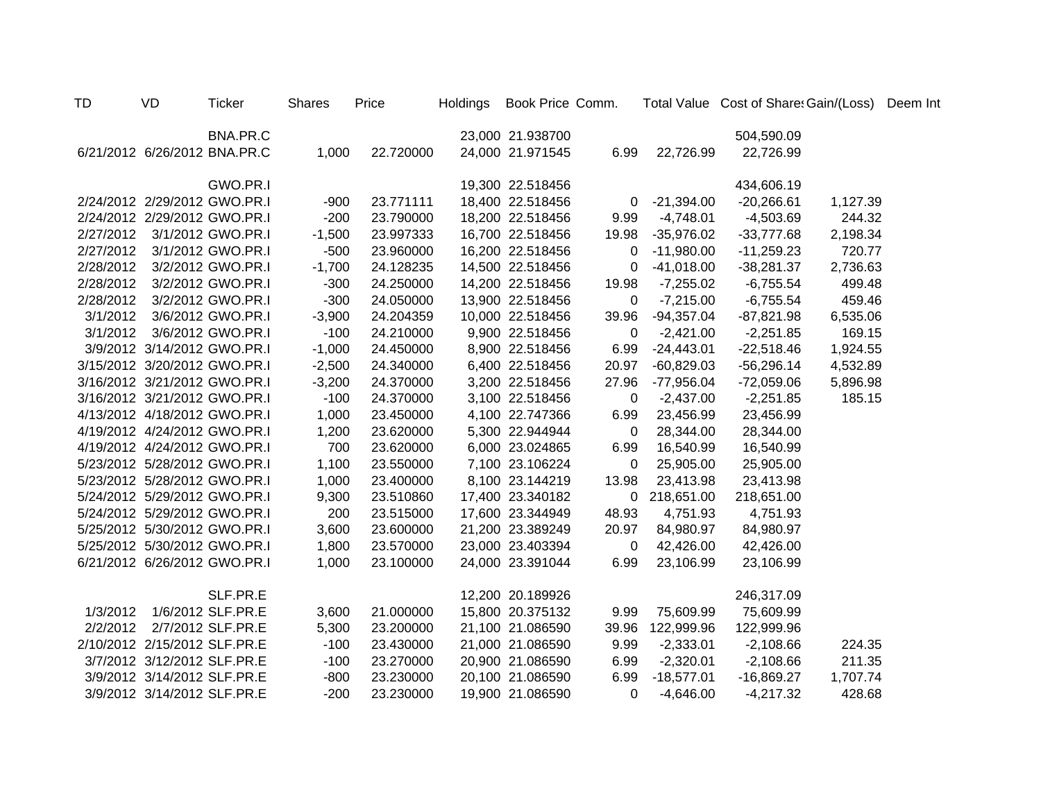| TD        | VD                           | <b>Ticker</b>                | <b>Shares</b> | Price     | Holdings Book Price Comm. |                |                | Total Value Cost of Share: Gain/(Loss) Deem Int |          |  |
|-----------|------------------------------|------------------------------|---------------|-----------|---------------------------|----------------|----------------|-------------------------------------------------|----------|--|
|           |                              | BNA.PR.C                     |               |           | 23,000 21.938700          |                |                | 504,590.09                                      |          |  |
|           |                              | 6/21/2012 6/26/2012 BNA.PR.C | 1,000         | 22.720000 | 24,000 21.971545          | 6.99           | 22,726.99      | 22,726.99                                       |          |  |
|           |                              | GWO.PR.I                     |               |           | 19,300 22.518456          |                |                | 434,606.19                                      |          |  |
|           |                              | 2/24/2012 2/29/2012 GWO.PR.I | $-900$        | 23.771111 | 18,400 22.518456          |                | $0 -21,394.00$ | $-20,266.61$                                    | 1,127.39 |  |
|           |                              | 2/24/2012 2/29/2012 GWO.PR.I | $-200$        | 23.790000 | 18,200 22.518456          | 9.99           | $-4,748.01$    | $-4,503.69$                                     | 244.32   |  |
|           |                              | 2/27/2012 3/1/2012 GWO.PR.I  | $-1,500$      | 23.997333 | 16,700 22.518456          | 19.98          | $-35,976.02$   | $-33,777.68$                                    | 2,198.34 |  |
| 2/27/2012 |                              | 3/1/2012 GWO.PR.I            | $-500$        | 23.960000 | 16,200 22.518456          | $\mathbf 0$    | $-11,980.00$   | $-11,259.23$                                    | 720.77   |  |
|           |                              | 2/28/2012 3/2/2012 GWO.PR.I  | $-1,700$      | 24.128235 | 14,500 22.518456          | $\overline{0}$ | $-41,018.00$   | $-38,281.37$                                    | 2,736.63 |  |
|           |                              | 2/28/2012 3/2/2012 GWO.PR.I  | $-300$        | 24.250000 | 14,200 22.518456          | 19.98          | $-7,255.02$    | $-6,755.54$                                     | 499.48   |  |
|           |                              | 2/28/2012 3/2/2012 GWO.PR.I  | $-300$        | 24.050000 | 13,900 22.518456          | 0              | $-7,215.00$    | $-6,755.54$                                     | 459.46   |  |
|           |                              | 3/1/2012 3/6/2012 GWO.PR.I   | $-3,900$      | 24.204359 | 10,000 22.518456          | 39.96          | $-94,357.04$   | $-87,821.98$                                    | 6,535.06 |  |
|           |                              | 3/1/2012 3/6/2012 GWO.PR.I   | $-100$        | 24.210000 | 9,900 22.518456           | $\overline{0}$ | $-2,421.00$    | $-2,251.85$                                     | 169.15   |  |
|           |                              | 3/9/2012 3/14/2012 GWO.PR.I  | $-1,000$      | 24.450000 | 8,900 22.518456           | 6.99           | $-24,443.01$   | $-22,518.46$                                    | 1,924.55 |  |
|           |                              | 3/15/2012 3/20/2012 GWO.PR.I | $-2,500$      | 24.340000 | 6,400 22.518456           | 20.97          | $-60,829.03$   | $-56,296.14$                                    | 4,532.89 |  |
|           |                              | 3/16/2012 3/21/2012 GWO.PR.I | $-3,200$      | 24.370000 | 3,200 22.518456           | 27.96          | $-77,956.04$   | $-72,059.06$                                    | 5,896.98 |  |
|           |                              | 3/16/2012 3/21/2012 GWO.PR.I | $-100$        | 24.370000 | 3,100 22.518456           | $\mathbf 0$    | $-2,437.00$    | $-2,251.85$                                     | 185.15   |  |
|           |                              | 4/13/2012 4/18/2012 GWO.PR.I | 1,000         | 23.450000 | 4,100 22.747366           | 6.99           | 23,456.99      | 23,456.99                                       |          |  |
|           |                              | 4/19/2012 4/24/2012 GWO.PR.I | 1,200         | 23.620000 | 5,300 22.944944           | $\mathbf 0$    | 28,344.00      | 28,344.00                                       |          |  |
|           |                              | 4/19/2012 4/24/2012 GWO.PR.I | 700           | 23.620000 | 6,000 23.024865           | 6.99           | 16,540.99      | 16,540.99                                       |          |  |
|           |                              | 5/23/2012 5/28/2012 GWO.PR.I | 1,100         | 23.550000 | 7,100 23.106224           | 0              | 25,905.00      | 25,905.00                                       |          |  |
|           |                              | 5/23/2012 5/28/2012 GWO.PR.I | 1,000         | 23.400000 | 8,100 23.144219           | 13.98          | 23,413.98      | 23,413.98                                       |          |  |
|           |                              | 5/24/2012 5/29/2012 GWO.PR.I | 9,300         | 23.510860 | 17,400 23.340182          |                | 0 218,651.00   | 218,651.00                                      |          |  |
|           |                              | 5/24/2012 5/29/2012 GWO.PR.I | 200           | 23.515000 | 17,600 23.344949          | 48.93          | 4,751.93       | 4,751.93                                        |          |  |
|           |                              | 5/25/2012 5/30/2012 GWO.PR.I | 3,600         | 23.600000 | 21,200 23.389249          | 20.97          | 84,980.97      | 84,980.97                                       |          |  |
|           |                              | 5/25/2012 5/30/2012 GWO.PR.I | 1,800         | 23.570000 | 23,000 23.403394          | $\mathbf 0$    | 42,426.00      | 42,426.00                                       |          |  |
|           |                              | 6/21/2012 6/26/2012 GWO.PR.I | 1,000         | 23.100000 | 24,000 23.391044          | 6.99           | 23,106.99      | 23,106.99                                       |          |  |
|           |                              | SLF.PR.E                     |               |           | 12,200 20.189926          |                |                | 246,317.09                                      |          |  |
| 1/3/2012  |                              | 1/6/2012 SLF.PR.E            | 3,600         | 21.000000 | 15,800 20.375132          | 9.99           | 75,609.99      | 75,609.99                                       |          |  |
|           | 2/2/2012 2/7/2012 SLF.PR.E   |                              | 5,300         | 23.200000 | 21,100 21.086590          | 39.96          | 122,999.96     | 122,999.96                                      |          |  |
|           | 2/10/2012 2/15/2012 SLF.PR.E |                              | $-100$        | 23.430000 | 21,000 21.086590          | 9.99           | $-2,333.01$    | $-2,108.66$                                     | 224.35   |  |
|           | 3/7/2012 3/12/2012 SLF.PR.E  |                              | $-100$        | 23.270000 | 20,900 21.086590          | 6.99           | $-2,320.01$    | $-2,108.66$                                     | 211.35   |  |
|           | 3/9/2012 3/14/2012 SLF.PR.E  |                              | $-800$        | 23.230000 | 20,100 21.086590          | 6.99           | $-18,577.01$   | $-16,869.27$                                    | 1,707.74 |  |
|           | 3/9/2012 3/14/2012 SLF.PR.E  |                              | $-200$        | 23.230000 | 19,900 21.086590          | $\Omega$       | $-4,646.00$    | $-4,217.32$                                     | 428.68   |  |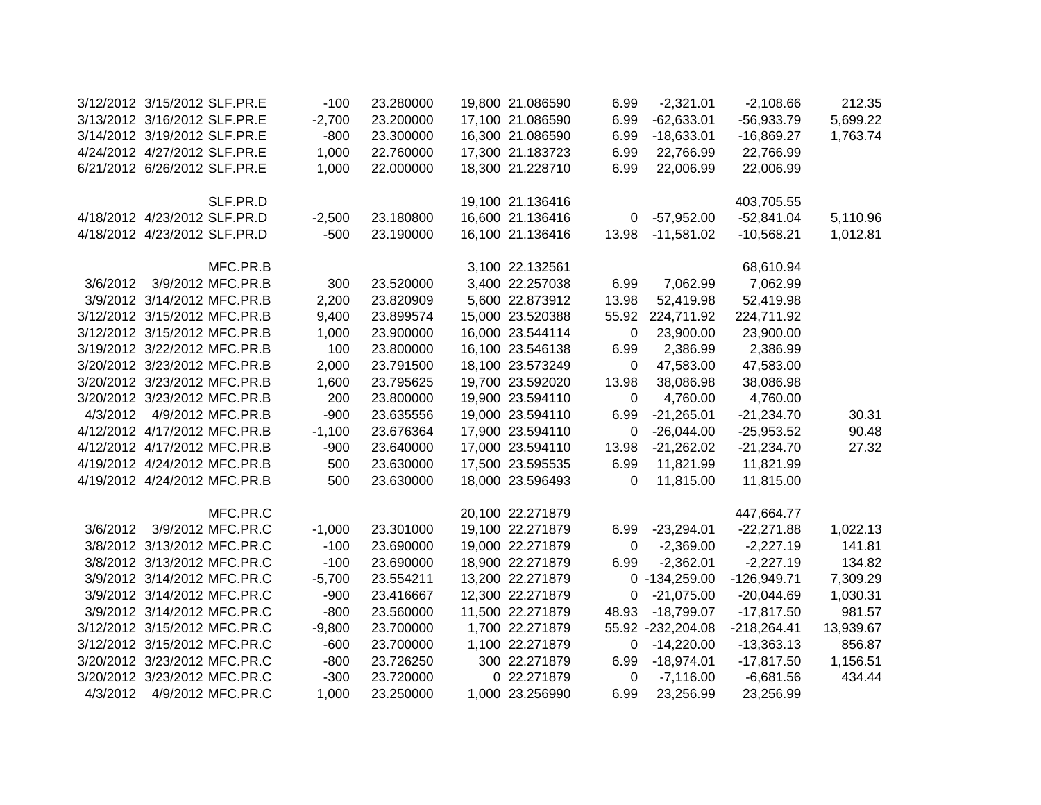|          | 3/12/2012 3/15/2012 SLF.PR.E | $-100$   | 23.280000 | 19,800 21.086590 | 6.99        | $-2,321.01$       | $-2,108.66$   | 212.35    |
|----------|------------------------------|----------|-----------|------------------|-------------|-------------------|---------------|-----------|
|          | 3/13/2012 3/16/2012 SLF.PR.E | $-2,700$ | 23.200000 | 17,100 21.086590 | 6.99        | $-62,633.01$      | $-56,933.79$  | 5,699.22  |
|          | 3/14/2012 3/19/2012 SLF.PR.E | $-800$   | 23.300000 | 16,300 21.086590 | 6.99        | $-18,633.01$      | $-16,869.27$  | 1,763.74  |
|          | 4/24/2012 4/27/2012 SLF.PR.E | 1,000    | 22.760000 | 17,300 21.183723 | 6.99        | 22,766.99         | 22,766.99     |           |
|          | 6/21/2012 6/26/2012 SLF.PR.E | 1,000    | 22.000000 | 18,300 21.228710 | 6.99        | 22,006.99         | 22,006.99     |           |
|          |                              |          |           |                  |             |                   |               |           |
|          | SLF.PR.D                     |          |           | 19,100 21.136416 |             |                   | 403,705.55    |           |
|          | 4/18/2012 4/23/2012 SLF.PR.D | $-2,500$ | 23.180800 | 16,600 21.136416 | 0           | $-57,952.00$      | $-52,841.04$  | 5,110.96  |
|          | 4/18/2012 4/23/2012 SLF.PR.D | $-500$   | 23.190000 | 16,100 21.136416 | 13.98       | $-11,581.02$      | $-10,568.21$  | 1,012.81  |
|          | MFC.PR.B                     |          |           | 3,100 22.132561  |             |                   | 68,610.94     |           |
| 3/6/2012 | 3/9/2012 MFC.PR.B            | 300      | 23.520000 | 3,400 22.257038  | 6.99        | 7,062.99          | 7,062.99      |           |
|          | 3/9/2012 3/14/2012 MFC.PR.B  | 2,200    | 23.820909 | 5,600 22.873912  | 13.98       | 52,419.98         | 52,419.98     |           |
|          | 3/12/2012 3/15/2012 MFC.PR.B | 9,400    | 23.899574 | 15,000 23.520388 |             | 55.92 224,711.92  | 224,711.92    |           |
|          | 3/12/2012 3/15/2012 MFC.PR.B | 1,000    | 23.900000 | 16,000 23.544114 | 0           | 23,900.00         | 23,900.00     |           |
|          | 3/19/2012 3/22/2012 MFC.PR.B | 100      | 23.800000 | 16,100 23.546138 | 6.99        | 2,386.99          | 2,386.99      |           |
|          | 3/20/2012 3/23/2012 MFC.PR.B | 2,000    | 23.791500 | 18,100 23.573249 | $\mathbf 0$ | 47,583.00         | 47,583.00     |           |
|          | 3/20/2012 3/23/2012 MFC.PR.B | 1,600    | 23.795625 | 19,700 23.592020 | 13.98       | 38,086.98         | 38,086.98     |           |
|          | 3/20/2012 3/23/2012 MFC.PR.B | 200      | 23.800000 | 19,900 23.594110 | $\mathbf 0$ | 4,760.00          | 4,760.00      |           |
| 4/3/2012 | 4/9/2012 MFC.PR.B            | $-900$   | 23.635556 | 19,000 23.594110 | 6.99        | $-21,265.01$      | $-21,234.70$  | 30.31     |
|          | 4/12/2012 4/17/2012 MFC.PR.B | $-1,100$ | 23.676364 | 17,900 23.594110 | 0           | $-26,044.00$      | $-25,953.52$  | 90.48     |
|          | 4/12/2012 4/17/2012 MFC.PR.B | $-900$   | 23.640000 | 17,000 23.594110 | 13.98       | $-21,262.02$      | $-21,234.70$  | 27.32     |
|          | 4/19/2012 4/24/2012 MFC.PR.B | 500      | 23.630000 | 17,500 23.595535 | 6.99        | 11,821.99         | 11,821.99     |           |
|          | 4/19/2012 4/24/2012 MFC.PR.B | 500      | 23.630000 | 18,000 23.596493 | 0           | 11,815.00         | 11,815.00     |           |
|          | MFC.PR.C                     |          |           | 20,100 22.271879 |             |                   | 447,664.77    |           |
| 3/6/2012 | 3/9/2012 MFC.PR.C            | $-1,000$ | 23.301000 | 19,100 22.271879 | 6.99        | $-23,294.01$      | $-22,271.88$  | 1,022.13  |
|          | 3/8/2012 3/13/2012 MFC.PR.C  | $-100$   | 23.690000 | 19,000 22.271879 | 0           | $-2,369.00$       | $-2,227.19$   | 141.81    |
|          | 3/8/2012 3/13/2012 MFC.PR.C  | $-100$   | 23.690000 | 18,900 22.271879 | 6.99        | $-2,362.01$       | $-2,227.19$   | 134.82    |
|          | 3/9/2012 3/14/2012 MFC.PR.C  | $-5,700$ | 23.554211 | 13,200 22.271879 |             | $0 - 134,259.00$  | $-126,949.71$ | 7,309.29  |
|          | 3/9/2012 3/14/2012 MFC.PR.C  | $-900$   | 23.416667 | 12,300 22.271879 | 0           | $-21,075.00$      | $-20,044.69$  | 1,030.31  |
|          | 3/9/2012 3/14/2012 MFC.PR.C  | $-800$   | 23.560000 | 11,500 22.271879 | 48.93       | $-18,799.07$      | $-17,817.50$  | 981.57    |
|          | 3/12/2012 3/15/2012 MFC.PR.C | $-9,800$ | 23.700000 | 1,700 22.271879  |             | 55.92 -232,204.08 | $-218,264.41$ | 13,939.67 |
|          | 3/12/2012 3/15/2012 MFC.PR.C | $-600$   | 23.700000 | 1,100 22.271879  | 0           | $-14,220.00$      | $-13,363.13$  | 856.87    |
|          | 3/20/2012 3/23/2012 MFC.PR.C | $-800$   | 23.726250 | 300 22.271879    | 6.99        | $-18,974.01$      | $-17,817.50$  | 1,156.51  |
|          | 3/20/2012 3/23/2012 MFC.PR.C | $-300$   | 23.720000 | 0 22.271879      | 0           | $-7,116.00$       | $-6,681.56$   | 434.44    |
| 4/3/2012 | 4/9/2012 MFC.PR.C            | 1,000    | 23.250000 | 1,000 23.256990  | 6.99        | 23,256.99         | 23,256.99     |           |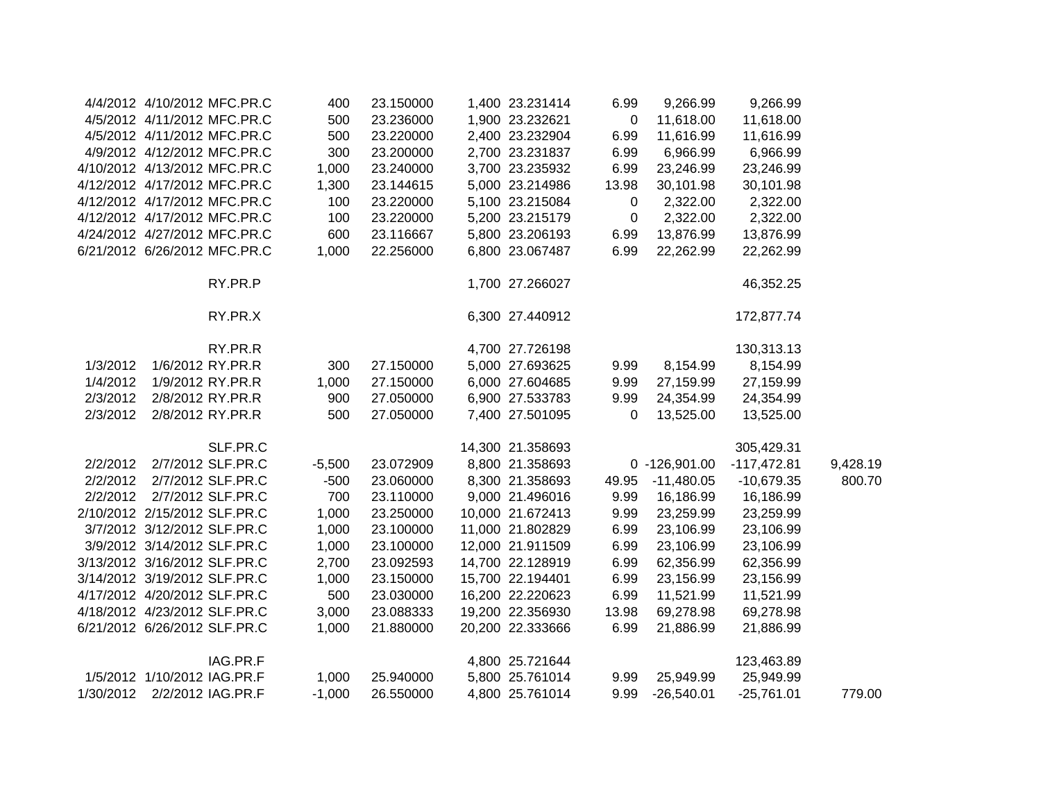|           |                             | 4/4/2012 4/10/2012 MFC.PR.C  | 400      | 23.150000 | 1,400 23.231414  | 6.99        | 9,266.99      | 9,266.99      |          |
|-----------|-----------------------------|------------------------------|----------|-----------|------------------|-------------|---------------|---------------|----------|
|           |                             | 4/5/2012 4/11/2012 MFC.PR.C  | 500      | 23.236000 | 1,900 23.232621  | $\mathbf 0$ | 11,618.00     | 11,618.00     |          |
|           |                             | 4/5/2012 4/11/2012 MFC.PR.C  | 500      | 23.220000 | 2,400 23.232904  | 6.99        | 11,616.99     | 11,616.99     |          |
|           |                             | 4/9/2012 4/12/2012 MFC.PR.C  | 300      | 23.200000 | 2,700 23.231837  | 6.99        | 6,966.99      | 6,966.99      |          |
|           |                             | 4/10/2012 4/13/2012 MFC.PR.C | 1,000    | 23.240000 | 3,700 23.235932  | 6.99        | 23,246.99     | 23,246.99     |          |
|           |                             | 4/12/2012 4/17/2012 MFC.PR.C | 1,300    | 23.144615 | 5,000 23.214986  | 13.98       | 30,101.98     | 30,101.98     |          |
|           |                             | 4/12/2012 4/17/2012 MFC.PR.C | 100      | 23.220000 | 5,100 23.215084  | $\mathbf 0$ | 2,322.00      | 2,322.00      |          |
|           |                             | 4/12/2012 4/17/2012 MFC.PR.C | 100      | 23.220000 | 5,200 23.215179  | 0           | 2,322.00      | 2,322.00      |          |
|           |                             | 4/24/2012 4/27/2012 MFC.PR.C | 600      | 23.116667 | 5,800 23.206193  | 6.99        | 13,876.99     | 13,876.99     |          |
|           |                             | 6/21/2012 6/26/2012 MFC.PR.C | 1,000    | 22.256000 | 6,800 23.067487  | 6.99        | 22,262.99     | 22,262.99     |          |
|           |                             | RY.PR.P                      |          |           | 1,700 27.266027  |             |               | 46,352.25     |          |
|           |                             | RY.PR.X                      |          |           | 6,300 27.440912  |             |               | 172,877.74    |          |
|           |                             | RY.PR.R                      |          |           | 4,700 27.726198  |             |               | 130,313.13    |          |
| 1/3/2012  |                             | 1/6/2012 RY.PR.R             | 300      | 27.150000 | 5,000 27.693625  | 9.99        | 8,154.99      | 8,154.99      |          |
| 1/4/2012  |                             | 1/9/2012 RY.PR.R             | 1,000    | 27.150000 | 6,000 27.604685  | 9.99        | 27,159.99     | 27,159.99     |          |
| 2/3/2012  |                             | 2/8/2012 RY.PR.R             | 900      | 27.050000 | 6,900 27.533783  | 9.99        | 24,354.99     | 24,354.99     |          |
| 2/3/2012  |                             | 2/8/2012 RY.PR.R             | 500      | 27.050000 | 7,400 27.501095  | 0           | 13,525.00     | 13,525.00     |          |
|           |                             | SLF.PR.C                     |          |           | 14,300 21.358693 |             |               | 305,429.31    |          |
| 2/2/2012  |                             | 2/7/2012 SLF.PR.C            | $-5,500$ | 23.072909 | 8,800 21.358693  |             | 0 -126,901.00 | $-117,472.81$ | 9,428.19 |
| 2/2/2012  |                             | 2/7/2012 SLF.PR.C            | $-500$   | 23.060000 | 8,300 21.358693  | 49.95       | $-11,480.05$  | $-10,679.35$  | 800.70   |
| 2/2/2012  |                             | 2/7/2012 SLF.PR.C            | 700      | 23.110000 | 9,000 21.496016  | 9.99        | 16,186.99     | 16,186.99     |          |
|           |                             | 2/10/2012 2/15/2012 SLF.PR.C | 1,000    | 23.250000 | 10,000 21.672413 | 9.99        | 23,259.99     | 23,259.99     |          |
|           |                             | 3/7/2012 3/12/2012 SLF.PR.C  | 1,000    | 23.100000 | 11,000 21.802829 | 6.99        | 23,106.99     | 23,106.99     |          |
|           |                             | 3/9/2012 3/14/2012 SLF.PR.C  | 1,000    | 23.100000 | 12,000 21.911509 | 6.99        | 23,106.99     | 23,106.99     |          |
|           |                             | 3/13/2012 3/16/2012 SLF.PR.C | 2,700    | 23.092593 | 14,700 22.128919 | 6.99        | 62,356.99     | 62,356.99     |          |
|           |                             | 3/14/2012 3/19/2012 SLF.PR.C | 1,000    | 23.150000 | 15,700 22.194401 | 6.99        | 23,156.99     | 23,156.99     |          |
|           |                             | 4/17/2012 4/20/2012 SLF.PR.C | 500      | 23.030000 | 16,200 22.220623 | 6.99        | 11,521.99     | 11,521.99     |          |
|           |                             | 4/18/2012 4/23/2012 SLF.PR.C | 3,000    | 23.088333 | 19,200 22.356930 | 13.98       | 69,278.98     | 69,278.98     |          |
|           |                             | 6/21/2012 6/26/2012 SLF.PR.C | 1,000    | 21.880000 | 20,200 22.333666 | 6.99        | 21,886.99     | 21,886.99     |          |
|           |                             | IAG.PR.F                     |          |           | 4,800 25.721644  |             |               | 123,463.89    |          |
|           | 1/5/2012 1/10/2012 IAG.PR.F |                              | 1,000    | 25.940000 | 5,800 25.761014  | 9.99        | 25,949.99     | 25,949.99     |          |
| 1/30/2012 |                             | 2/2/2012 IAG.PR.F            | $-1,000$ | 26.550000 | 4,800 25.761014  | 9.99        | $-26,540.01$  | $-25,761.01$  | 779.00   |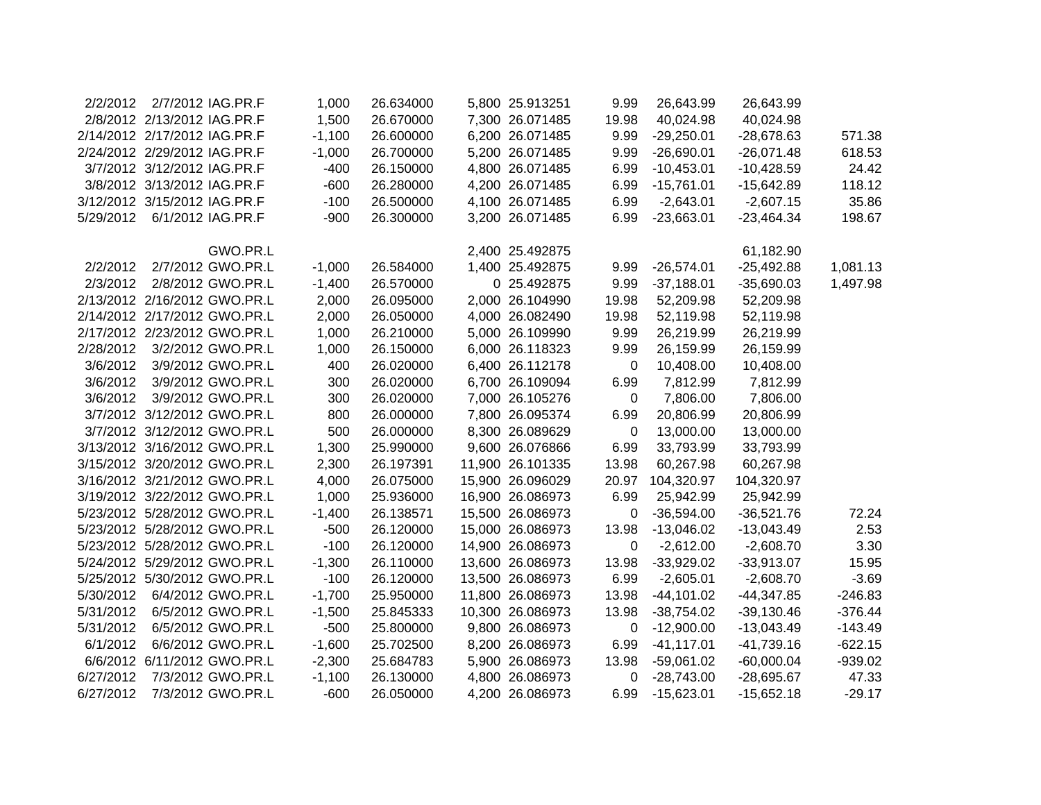| 2/2/2012  |                              | 2/7/2012 IAG.PR.F            | 1,000    | 26.634000 | 5,800 25.913251  | 9.99        | 26,643.99     | 26,643.99    |           |
|-----------|------------------------------|------------------------------|----------|-----------|------------------|-------------|---------------|--------------|-----------|
|           | 2/8/2012 2/13/2012 IAG.PR.F  |                              | 1,500    | 26.670000 | 7,300 26.071485  | 19.98       | 40,024.98     | 40,024.98    |           |
|           | 2/14/2012 2/17/2012 IAG.PR.F |                              | $-1,100$ | 26.600000 | 6,200 26.071485  | 9.99        | $-29,250.01$  | $-28,678.63$ | 571.38    |
|           | 2/24/2012 2/29/2012 IAG.PR.F |                              | $-1,000$ | 26.700000 | 5,200 26.071485  | 9.99        | $-26,690.01$  | $-26,071.48$ | 618.53    |
|           | 3/7/2012 3/12/2012 IAG.PR.F  |                              | $-400$   | 26.150000 | 4,800 26.071485  | 6.99        | $-10,453.01$  | $-10,428.59$ | 24.42     |
|           | 3/8/2012 3/13/2012 IAG.PR.F  |                              | $-600$   | 26.280000 | 4,200 26.071485  | 6.99        | $-15,761.01$  | $-15,642.89$ | 118.12    |
|           | 3/12/2012 3/15/2012 IAG.PR.F |                              | $-100$   | 26.500000 | 4,100 26.071485  | 6.99        | $-2,643.01$   | $-2,607.15$  | 35.86     |
| 5/29/2012 | 6/1/2012 IAG.PR.F            |                              | $-900$   | 26.300000 | 3,200 26.071485  | 6.99        | $-23,663.01$  | $-23,464.34$ | 198.67    |
|           |                              |                              |          |           |                  |             |               |              |           |
|           |                              | GWO.PR.L                     |          |           | 2,400 25.492875  |             |               | 61,182.90    |           |
| 2/2/2012  |                              | 2/7/2012 GWO.PR.L            | $-1,000$ | 26.584000 | 1,400 25.492875  | 9.99        | $-26,574.01$  | $-25,492.88$ | 1,081.13  |
| 2/3/2012  |                              | 2/8/2012 GWO.PR.L            | $-1,400$ | 26.570000 | 0 25.492875      | 9.99        | $-37,188.01$  | $-35,690.03$ | 1,497.98  |
|           |                              | 2/13/2012 2/16/2012 GWO.PR.L | 2,000    | 26.095000 | 2,000 26.104990  | 19.98       | 52,209.98     | 52,209.98    |           |
|           |                              | 2/14/2012 2/17/2012 GWO.PR.L | 2,000    | 26.050000 | 4,000 26.082490  | 19.98       | 52,119.98     | 52,119.98    |           |
|           |                              | 2/17/2012 2/23/2012 GWO.PR.L | 1,000    | 26.210000 | 5,000 26.109990  | 9.99        | 26,219.99     | 26,219.99    |           |
| 2/28/2012 |                              | 3/2/2012 GWO.PR.L            | 1,000    | 26.150000 | 6,000 26.118323  | 9.99        | 26,159.99     | 26,159.99    |           |
| 3/6/2012  |                              | 3/9/2012 GWO.PR.L            | 400      | 26.020000 | 6,400 26.112178  | 0           | 10,408.00     | 10,408.00    |           |
| 3/6/2012  |                              | 3/9/2012 GWO.PR.L            | 300      | 26.020000 | 6,700 26.109094  | 6.99        | 7,812.99      | 7,812.99     |           |
| 3/6/2012  |                              | 3/9/2012 GWO.PR.L            | 300      | 26.020000 | 7,000 26.105276  | 0           | 7,806.00      | 7,806.00     |           |
|           |                              | 3/7/2012 3/12/2012 GWO.PR.L  | 800      | 26.000000 | 7,800 26.095374  | 6.99        | 20,806.99     | 20,806.99    |           |
|           |                              | 3/7/2012 3/12/2012 GWO.PR.L  | 500      | 26.000000 | 8,300 26.089629  | $\mathbf 0$ | 13,000.00     | 13,000.00    |           |
|           |                              | 3/13/2012 3/16/2012 GWO.PR.L | 1,300    | 25.990000 | 9,600 26.076866  | 6.99        | 33,793.99     | 33,793.99    |           |
|           |                              | 3/15/2012 3/20/2012 GWO.PR.L | 2,300    | 26.197391 | 11,900 26.101335 | 13.98       | 60,267.98     | 60,267.98    |           |
|           |                              | 3/16/2012 3/21/2012 GWO.PR.L | 4,000    | 26.075000 | 15,900 26.096029 | 20.97       | 104,320.97    | 104,320.97   |           |
|           |                              | 3/19/2012 3/22/2012 GWO.PR.L | 1,000    | 25.936000 | 16,900 26.086973 | 6.99        | 25,942.99     | 25,942.99    |           |
|           |                              | 5/23/2012 5/28/2012 GWO.PR.L | $-1,400$ | 26.138571 | 15,500 26.086973 | 0           | $-36,594.00$  | $-36,521.76$ | 72.24     |
|           |                              | 5/23/2012 5/28/2012 GWO.PR.L | $-500$   | 26.120000 | 15,000 26.086973 | 13.98       | $-13,046.02$  | $-13,043.49$ | 2.53      |
|           |                              | 5/23/2012 5/28/2012 GWO.PR.L | $-100$   | 26.120000 | 14,900 26.086973 | 0           | $-2,612.00$   | $-2,608.70$  | 3.30      |
|           |                              | 5/24/2012 5/29/2012 GWO.PR.L | $-1,300$ | 26.110000 | 13,600 26.086973 | 13.98       | $-33,929.02$  | $-33,913.07$ | 15.95     |
|           |                              | 5/25/2012 5/30/2012 GWO.PR.L | $-100$   | 26.120000 | 13,500 26.086973 | 6.99        | $-2,605.01$   | $-2,608.70$  | $-3.69$   |
| 5/30/2012 |                              | 6/4/2012 GWO.PR.L            | $-1,700$ | 25.950000 | 11,800 26.086973 | 13.98       | $-44,101.02$  | $-44,347.85$ | $-246.83$ |
| 5/31/2012 |                              | 6/5/2012 GWO.PR.L            | $-1,500$ | 25.845333 | 10,300 26.086973 | 13.98       | $-38,754.02$  | $-39,130.46$ | $-376.44$ |
| 5/31/2012 |                              | 6/5/2012 GWO.PR.L            | $-500$   | 25.800000 | 9,800 26.086973  | 0           | $-12,900.00$  | $-13,043.49$ | $-143.49$ |
| 6/1/2012  |                              | 6/6/2012 GWO.PR.L            | $-1,600$ | 25.702500 | 8,200 26.086973  | 6.99        | $-41, 117.01$ | $-41,739.16$ | $-622.15$ |
|           |                              | 6/6/2012 6/11/2012 GWO.PR.L  | $-2,300$ | 25.684783 | 5,900 26.086973  | 13.98       | $-59,061.02$  | $-60,000.04$ | $-939.02$ |
| 6/27/2012 |                              | 7/3/2012 GWO.PR.L            | $-1,100$ | 26.130000 | 4,800 26.086973  | 0           | $-28,743.00$  | $-28,695.67$ | 47.33     |
| 6/27/2012 |                              | 7/3/2012 GWO.PR.L            | $-600$   | 26.050000 | 4,200 26.086973  | 6.99        | $-15,623.01$  | $-15,652.18$ | $-29.17$  |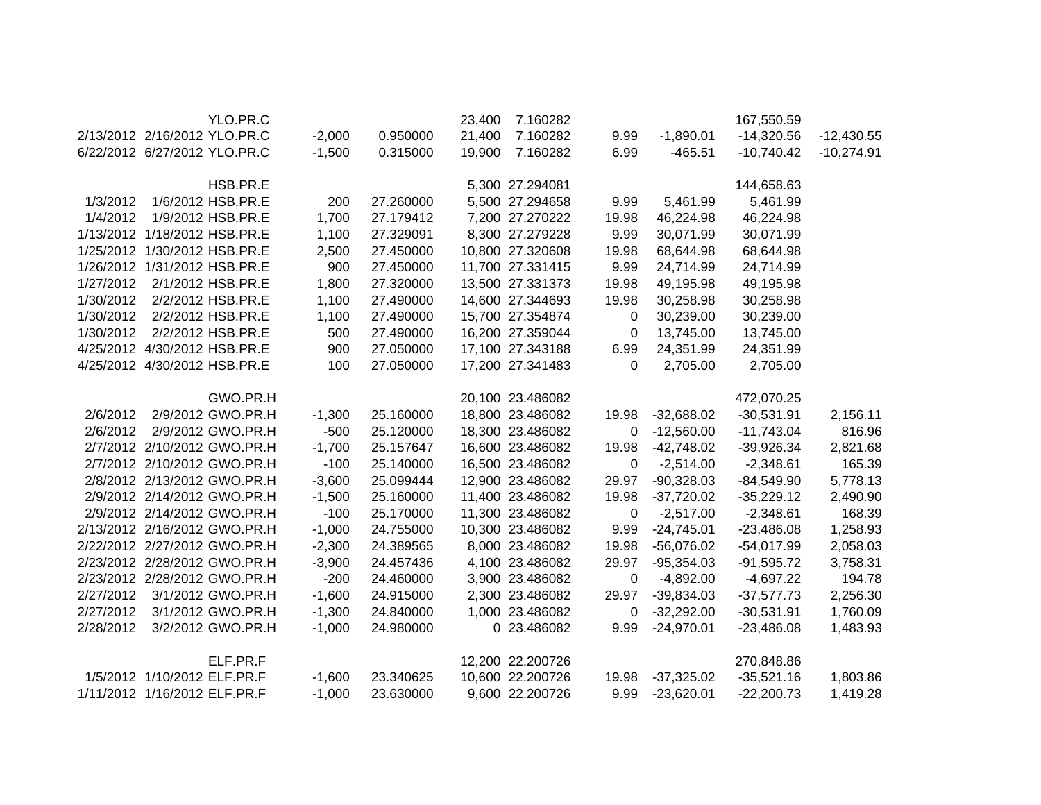|           |                              | YLO.PR.C                     |          |           | 23,400 | 7.160282         |             |              | 167,550.59   |              |
|-----------|------------------------------|------------------------------|----------|-----------|--------|------------------|-------------|--------------|--------------|--------------|
|           |                              | 2/13/2012 2/16/2012 YLO.PR.C | $-2,000$ | 0.950000  | 21,400 | 7.160282         | 9.99        | $-1,890.01$  | $-14,320.56$ | $-12,430.55$ |
|           |                              | 6/22/2012 6/27/2012 YLO.PR.C | $-1,500$ | 0.315000  | 19,900 | 7.160282         | 6.99        | $-465.51$    | $-10,740.42$ | $-10,274.91$ |
|           |                              | HSB.PR.E                     |          |           |        | 5,300 27.294081  |             |              | 144,658.63   |              |
| 1/3/2012  |                              | 1/6/2012 HSB.PR.E            | 200      | 27.260000 |        | 5,500 27.294658  | 9.99        | 5,461.99     | 5,461.99     |              |
| 1/4/2012  |                              | 1/9/2012 HSB.PR.E            | 1,700    | 27.179412 |        | 7,200 27.270222  | 19.98       | 46,224.98    | 46,224.98    |              |
|           |                              | 1/13/2012 1/18/2012 HSB.PR.E | 1,100    | 27.329091 |        | 8,300 27.279228  | 9.99        | 30,071.99    | 30,071.99    |              |
|           |                              | 1/25/2012 1/30/2012 HSB.PR.E | 2,500    | 27.450000 |        | 10,800 27.320608 | 19.98       | 68,644.98    | 68,644.98    |              |
|           |                              | 1/26/2012 1/31/2012 HSB.PR.E | 900      | 27.450000 |        | 11,700 27.331415 | 9.99        | 24,714.99    | 24,714.99    |              |
| 1/27/2012 |                              | 2/1/2012 HSB.PR.E            | 1,800    | 27.320000 |        | 13,500 27.331373 | 19.98       | 49,195.98    | 49,195.98    |              |
| 1/30/2012 |                              | 2/2/2012 HSB.PR.E            | 1,100    | 27.490000 |        | 14,600 27.344693 | 19.98       | 30,258.98    | 30,258.98    |              |
| 1/30/2012 |                              | 2/2/2012 HSB.PR.E            | 1,100    | 27.490000 |        | 15,700 27.354874 | 0           | 30,239.00    | 30,239.00    |              |
| 1/30/2012 |                              | 2/2/2012 HSB.PR.E            | 500      | 27.490000 |        | 16,200 27.359044 | 0           | 13,745.00    | 13,745.00    |              |
|           |                              | 4/25/2012 4/30/2012 HSB.PR.E | 900      | 27.050000 |        | 17,100 27.343188 | 6.99        | 24,351.99    | 24,351.99    |              |
|           |                              | 4/25/2012 4/30/2012 HSB.PR.E | 100      | 27.050000 |        | 17,200 27.341483 | $\Omega$    | 2,705.00     | 2,705.00     |              |
|           |                              | GWO.PR.H                     |          |           |        | 20,100 23.486082 |             |              | 472,070.25   |              |
| 2/6/2012  |                              | 2/9/2012 GWO.PR.H            | $-1,300$ | 25.160000 |        | 18,800 23.486082 | 19.98       | $-32,688.02$ | $-30,531.91$ | 2,156.11     |
| 2/6/2012  |                              | 2/9/2012 GWO.PR.H            | $-500$   | 25.120000 |        | 18,300 23.486082 | 0           | $-12,560.00$ | $-11,743.04$ | 816.96       |
|           |                              | 2/7/2012 2/10/2012 GWO.PR.H  | $-1,700$ | 25.157647 |        | 16,600 23.486082 | 19.98       | $-42,748.02$ | $-39,926.34$ | 2,821.68     |
|           |                              | 2/7/2012 2/10/2012 GWO.PR.H  | $-100$   | 25.140000 |        | 16,500 23.486082 | $\mathbf 0$ | $-2,514.00$  | $-2,348.61$  | 165.39       |
|           |                              | 2/8/2012 2/13/2012 GWO.PR.H  | $-3,600$ | 25.099444 |        | 12,900 23.486082 | 29.97       | $-90,328.03$ | $-84,549.90$ | 5,778.13     |
|           |                              | 2/9/2012 2/14/2012 GWO.PR.H  | $-1,500$ | 25.160000 |        | 11,400 23.486082 | 19.98       | $-37,720.02$ | $-35,229.12$ | 2,490.90     |
|           |                              | 2/9/2012 2/14/2012 GWO.PR.H  | $-100$   | 25.170000 |        | 11,300 23.486082 | $\mathbf 0$ | $-2,517.00$  | $-2,348.61$  | 168.39       |
|           |                              | 2/13/2012 2/16/2012 GWO.PR.H | $-1,000$ | 24.755000 |        | 10,300 23.486082 | 9.99        | $-24,745.01$ | $-23,486.08$ | 1,258.93     |
|           |                              | 2/22/2012 2/27/2012 GWO.PR.H | $-2,300$ | 24.389565 |        | 8,000 23.486082  | 19.98       | $-56,076.02$ | $-54,017.99$ | 2,058.03     |
|           |                              | 2/23/2012 2/28/2012 GWO.PR.H | $-3,900$ | 24.457436 |        | 4,100 23.486082  | 29.97       | $-95,354.03$ | $-91,595.72$ | 3,758.31     |
|           |                              | 2/23/2012 2/28/2012 GWO.PR.H | $-200$   | 24.460000 |        | 3,900 23.486082  | 0           | $-4,892.00$  | $-4,697.22$  | 194.78       |
| 2/27/2012 |                              | 3/1/2012 GWO.PR.H            | $-1,600$ | 24.915000 |        | 2,300 23.486082  | 29.97       | $-39,834.03$ | $-37,577.73$ | 2,256.30     |
| 2/27/2012 |                              | 3/1/2012 GWO.PR.H            | $-1,300$ | 24.840000 |        | 1,000 23.486082  | 0           | $-32,292.00$ | $-30,531.91$ | 1,760.09     |
| 2/28/2012 |                              | 3/2/2012 GWO.PR.H            | $-1,000$ | 24.980000 |        | 0 23.486082      | 9.99        | $-24,970.01$ | $-23,486.08$ | 1,483.93     |
|           |                              | ELF.PR.F                     |          |           |        | 12,200 22.200726 |             |              | 270,848.86   |              |
|           | 1/5/2012 1/10/2012 ELF.PR.F  |                              | $-1,600$ | 23.340625 |        | 10,600 22.200726 | 19.98       | $-37,325.02$ | $-35,521.16$ | 1,803.86     |
|           | 1/11/2012 1/16/2012 ELF.PR.F |                              | $-1,000$ | 23.630000 |        | 9,600 22.200726  | 9.99        | $-23,620.01$ | $-22,200.73$ | 1,419.28     |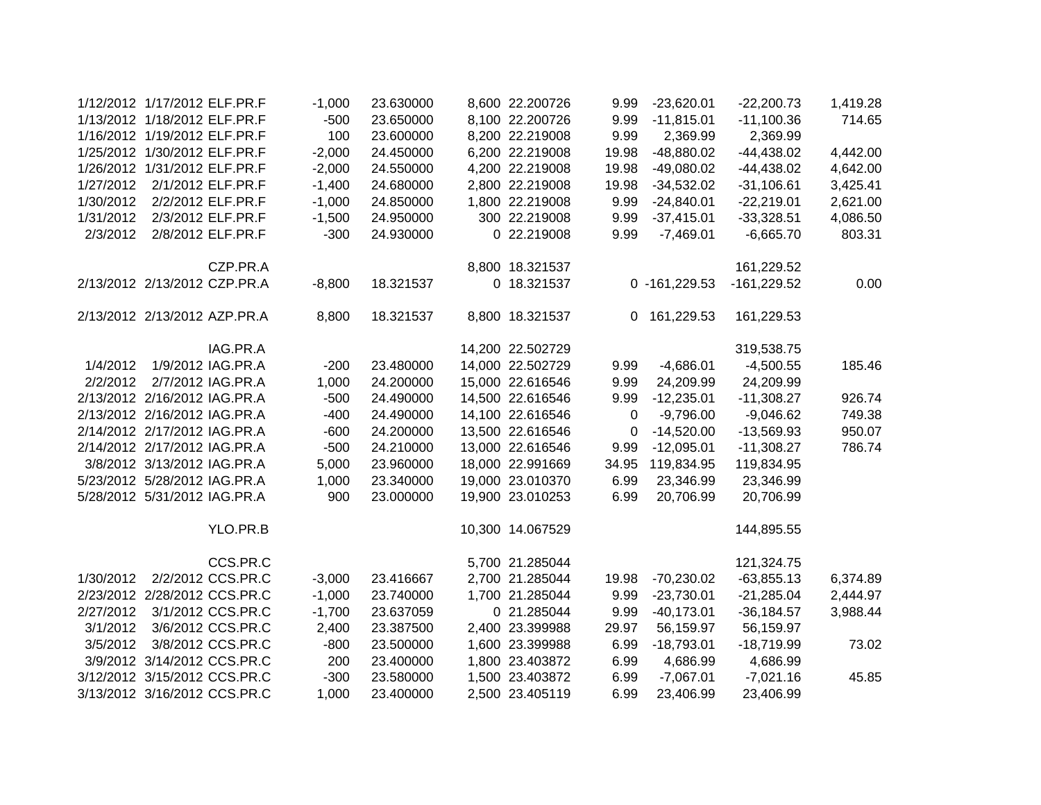| 1,419.28 | $-22,200.73$  | $-23,620.01$     | 9.99  | 8,600 22.200726  | 23.630000 | $-1,000$ | 1/12/2012 1/17/2012 ELF.PR.F |           |
|----------|---------------|------------------|-------|------------------|-----------|----------|------------------------------|-----------|
| 714.65   | $-11,100.36$  | $-11,815.01$     | 9.99  | 8,100 22.200726  | 23.650000 | $-500$   | 1/13/2012 1/18/2012 ELF.PR.F |           |
|          | 2,369.99      | 2,369.99         | 9.99  | 8,200 22.219008  | 23.600000 | 100      | 1/16/2012 1/19/2012 ELF.PR.F |           |
| 4,442.00 | $-44,438.02$  | -48,880.02       | 19.98 | 6,200 22.219008  | 24.450000 | $-2,000$ | 1/25/2012 1/30/2012 ELF.PR.F |           |
| 4,642.00 | $-44,438.02$  | $-49,080.02$     | 19.98 | 4,200 22.219008  | 24.550000 | $-2,000$ | 1/26/2012 1/31/2012 ELF.PR.F |           |
| 3,425.41 | $-31,106.61$  | $-34,532.02$     | 19.98 | 2,800 22.219008  | 24.680000 | $-1,400$ | 2/1/2012 ELF.PR.F            | 1/27/2012 |
| 2,621.00 | $-22,219.01$  | $-24,840.01$     | 9.99  | 1,800 22.219008  | 24.850000 | $-1,000$ | 2/2/2012 ELF.PR.F            | 1/30/2012 |
| 4,086.50 | $-33,328.51$  | $-37,415.01$     | 9.99  | 300 22.219008    | 24.950000 | $-1,500$ | 2/3/2012 ELF.PR.F            | 1/31/2012 |
| 803.31   | $-6,665.70$   | $-7,469.01$      | 9.99  | 0 22.219008      | 24.930000 | $-300$   | 2/8/2012 ELF.PR.F            | 2/3/2012  |
|          | 161,229.52    |                  |       | 8,800 18.321537  |           |          | CZP.PR.A                     |           |
| 0.00     | $-161,229.52$ | $0 - 161,229.53$ |       | 0 18.321537      | 18.321537 | $-8,800$ | 2/13/2012 2/13/2012 CZP.PR.A |           |
|          | 161,229.53    | 0 161,229.53     |       | 8,800 18.321537  | 18.321537 | 8,800    | 2/13/2012 2/13/2012 AZP.PR.A |           |
|          | 319,538.75    |                  |       | 14,200 22.502729 |           |          | IAG.PR.A                     |           |
| 185.46   | $-4,500.55$   | $-4,686.01$      | 9.99  | 14,000 22.502729 | 23.480000 | $-200$   | 1/9/2012 IAG.PR.A            | 1/4/2012  |
|          | 24,209.99     | 24,209.99        | 9.99  | 15,000 22.616546 | 24.200000 | 1,000    | 2/7/2012 IAG.PR.A            | 2/2/2012  |
| 926.74   | $-11,308.27$  | $-12,235.01$     | 9.99  | 14,500 22.616546 | 24.490000 | $-500$   | 2/13/2012 2/16/2012 IAG.PR.A |           |
| 749.38   | $-9,046.62$   | $-9,796.00$      | 0     | 14,100 22.616546 | 24.490000 | $-400$   | 2/13/2012 2/16/2012 IAG.PR.A |           |
| 950.07   | $-13,569.93$  | $-14,520.00$     | 0     | 13,500 22.616546 | 24.200000 | $-600$   | 2/14/2012 2/17/2012 IAG.PR.A |           |
| 786.74   | $-11,308.27$  | $-12,095.01$     | 9.99  | 13,000 22.616546 | 24.210000 | $-500$   | 2/14/2012 2/17/2012 IAG.PR.A |           |
|          | 119,834.95    | 119,834.95       | 34.95 | 18,000 22.991669 | 23.960000 | 5,000    | 3/8/2012 3/13/2012 IAG.PR.A  |           |
|          | 23,346.99     | 23,346.99        | 6.99  | 19,000 23.010370 | 23.340000 | 1,000    | 5/23/2012 5/28/2012 IAG.PR.A |           |
|          | 20,706.99     | 20,706.99        | 6.99  | 19,900 23.010253 | 23.000000 | 900      | 5/28/2012 5/31/2012 IAG.PR.A |           |
|          | 144,895.55    |                  |       | 10,300 14.067529 |           |          | YLO.PR.B                     |           |
|          | 121,324.75    |                  |       | 5,700 21.285044  |           |          | CCS.PR.C                     |           |
| 6,374.89 | $-63,855.13$  | $-70,230.02$     | 19.98 | 2,700 21.285044  | 23.416667 | $-3,000$ | 2/2/2012 CCS.PR.C            | 1/30/2012 |
| 2,444.97 | $-21,285.04$  | $-23,730.01$     | 9.99  | 1,700 21.285044  | 23.740000 | $-1,000$ | 2/23/2012 2/28/2012 CCS.PR.C |           |
| 3,988.44 | $-36,184.57$  | $-40,173.01$     | 9.99  | 0 21.285044      | 23.637059 | $-1,700$ | 3/1/2012 CCS.PR.C            | 2/27/2012 |
|          | 56,159.97     | 56,159.97        | 29.97 | 2,400 23.399988  | 23.387500 | 2,400    | 3/6/2012 CCS.PR.C            | 3/1/2012  |
| 73.02    | $-18,719.99$  | $-18,793.01$     | 6.99  | 1,600 23.399988  | 23.500000 | $-800$   | 3/8/2012 CCS.PR.C            | 3/5/2012  |
|          | 4,686.99      | 4,686.99         | 6.99  | 1,800 23.403872  | 23.400000 | 200      | 3/9/2012 3/14/2012 CCS.PR.C  |           |
| 45.85    | $-7,021.16$   | $-7,067.01$      | 6.99  | 1,500 23.403872  | 23.580000 | $-300$   | 3/12/2012 3/15/2012 CCS.PR.C |           |
|          | 23,406.99     | 23,406.99        | 6.99  | 2,500 23.405119  | 23.400000 | 1,000    | 3/13/2012 3/16/2012 CCS.PR.C |           |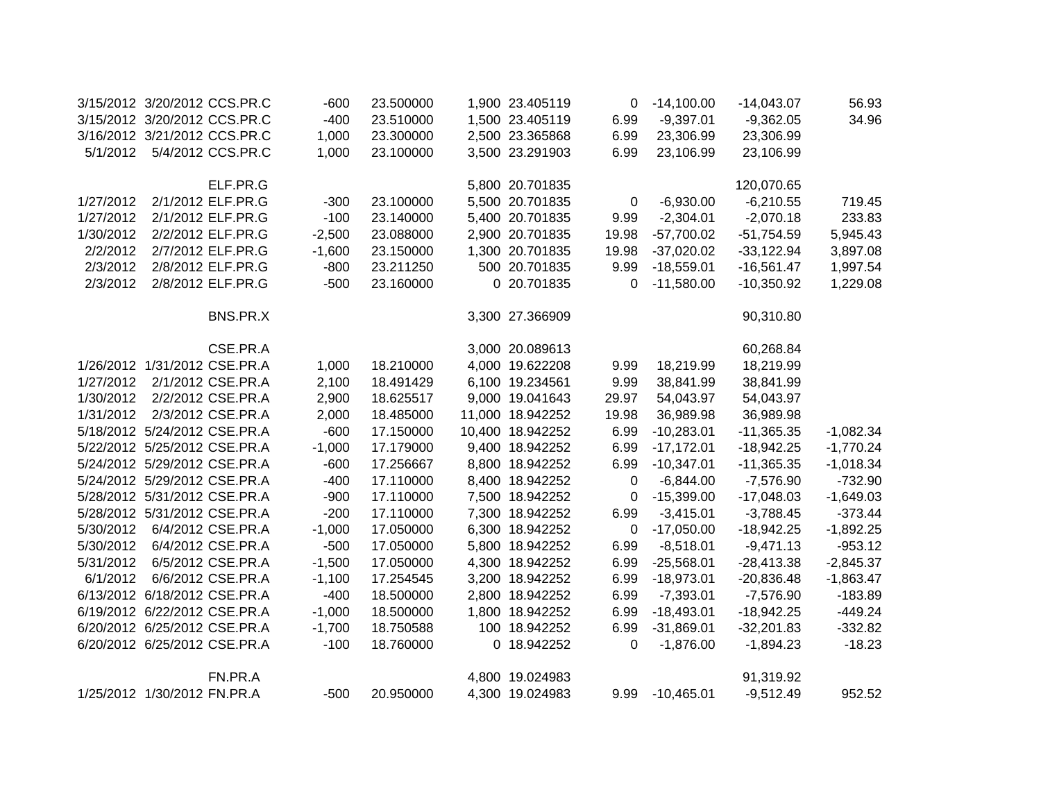|           | 3/15/2012 3/20/2012 CCS.PR.C |                   | $-600$   | 23.500000 | 1,900 23.405119  | 0                | $-14,100.00$ | $-14,043.07$ | 56.93       |
|-----------|------------------------------|-------------------|----------|-----------|------------------|------------------|--------------|--------------|-------------|
|           | 3/15/2012 3/20/2012 CCS.PR.C |                   | $-400$   | 23.510000 | 1,500 23.405119  | 6.99             | $-9,397.01$  | $-9,362.05$  | 34.96       |
|           | 3/16/2012 3/21/2012 CCS.PR.C |                   | 1,000    | 23.300000 | 2,500 23.365868  | 6.99             | 23,306.99    | 23,306.99    |             |
| 5/1/2012  |                              | 5/4/2012 CCS.PR.C | 1,000    | 23.100000 | 3,500 23.291903  | 6.99             | 23,106.99    | 23,106.99    |             |
|           |                              |                   |          |           |                  |                  |              |              |             |
|           |                              | ELF.PR.G          |          |           | 5,800 20.701835  |                  |              | 120,070.65   |             |
| 1/27/2012 |                              | 2/1/2012 ELF.PR.G | $-300$   | 23.100000 | 5,500 20.701835  | 0                | $-6,930.00$  | $-6,210.55$  | 719.45      |
| 1/27/2012 |                              | 2/1/2012 ELF.PR.G | $-100$   | 23.140000 | 5,400 20.701835  | 9.99             | $-2,304.01$  | $-2,070.18$  | 233.83      |
| 1/30/2012 |                              | 2/2/2012 ELF.PR.G | $-2,500$ | 23.088000 | 2,900 20.701835  | 19.98            | $-57,700.02$ | $-51,754.59$ | 5,945.43    |
| 2/2/2012  |                              | 2/7/2012 ELF.PR.G | $-1,600$ | 23.150000 | 1,300 20.701835  | 19.98            | $-37,020.02$ | $-33,122.94$ | 3,897.08    |
| 2/3/2012  |                              | 2/8/2012 ELF.PR.G | $-800$   | 23.211250 | 500 20.701835    | 9.99             | $-18,559.01$ | $-16,561.47$ | 1,997.54    |
| 2/3/2012  |                              | 2/8/2012 ELF.PR.G | $-500$   | 23.160000 | 0 20.701835      | $\Omega$         | $-11,580.00$ | $-10,350.92$ | 1,229.08    |
|           |                              | BNS.PR.X          |          |           | 3,300 27.366909  |                  |              | 90,310.80    |             |
|           |                              | CSE.PR.A          |          |           | 3,000 20.089613  |                  |              | 60,268.84    |             |
|           | 1/26/2012 1/31/2012 CSE.PR.A |                   | 1,000    | 18.210000 | 4,000 19.622208  | 9.99             | 18,219.99    | 18,219.99    |             |
| 1/27/2012 |                              | 2/1/2012 CSE.PR.A | 2,100    | 18.491429 | 6,100 19.234561  | 9.99             | 38,841.99    | 38,841.99    |             |
| 1/30/2012 |                              | 2/2/2012 CSE.PR.A | 2,900    | 18.625517 | 9,000 19.041643  | 29.97            | 54,043.97    | 54,043.97    |             |
| 1/31/2012 |                              | 2/3/2012 CSE.PR.A | 2,000    | 18.485000 | 11,000 18.942252 | 19.98            | 36,989.98    | 36,989.98    |             |
|           | 5/18/2012 5/24/2012 CSE.PR.A |                   | $-600$   | 17.150000 | 10,400 18.942252 | 6.99             | $-10,283.01$ | $-11,365.35$ | $-1,082.34$ |
|           | 5/22/2012 5/25/2012 CSE.PR.A |                   | $-1,000$ | 17.179000 | 9,400 18.942252  | 6.99             | $-17,172.01$ | $-18,942.25$ | $-1,770.24$ |
|           | 5/24/2012 5/29/2012 CSE.PR.A |                   | $-600$   | 17.256667 | 8,800 18.942252  | 6.99             | $-10,347.01$ | $-11,365.35$ | $-1,018.34$ |
|           | 5/24/2012 5/29/2012 CSE.PR.A |                   | $-400$   | 17.110000 | 8,400 18.942252  | 0                | $-6,844.00$  | $-7,576.90$  | $-732.90$   |
|           | 5/28/2012 5/31/2012 CSE.PR.A |                   | $-900$   | 17.110000 | 7,500 18.942252  | $\boldsymbol{0}$ | $-15,399.00$ | $-17,048.03$ | $-1,649.03$ |
|           | 5/28/2012 5/31/2012 CSE.PR.A |                   | $-200$   | 17.110000 | 7,300 18.942252  | 6.99             | $-3,415.01$  | $-3,788.45$  | $-373.44$   |
| 5/30/2012 |                              | 6/4/2012 CSE.PR.A | $-1,000$ | 17.050000 | 6,300 18.942252  | $\mathbf 0$      | $-17,050.00$ | $-18,942.25$ | $-1,892.25$ |
| 5/30/2012 |                              | 6/4/2012 CSE.PR.A | $-500$   | 17.050000 | 5,800 18.942252  | 6.99             | $-8,518.01$  | $-9,471.13$  | $-953.12$   |
| 5/31/2012 |                              | 6/5/2012 CSE.PR.A | $-1,500$ | 17.050000 | 4,300 18.942252  | 6.99             | $-25,568.01$ | $-28,413.38$ | $-2,845.37$ |
| 6/1/2012  |                              | 6/6/2012 CSE.PR.A | $-1,100$ | 17.254545 | 3,200 18.942252  | 6.99             | $-18,973.01$ | $-20,836.48$ | $-1,863.47$ |
|           | 6/13/2012 6/18/2012 CSE.PR.A |                   | $-400$   | 18.500000 | 2,800 18.942252  | 6.99             | $-7,393.01$  | $-7,576.90$  | $-183.89$   |
|           | 6/19/2012 6/22/2012 CSE.PR.A |                   | $-1,000$ | 18.500000 | 1,800 18.942252  | 6.99             | $-18,493.01$ | $-18,942.25$ | $-449.24$   |
|           | 6/20/2012 6/25/2012 CSE.PR.A |                   | $-1,700$ | 18.750588 | 100 18.942252    | 6.99             | $-31,869.01$ | $-32,201.83$ | $-332.82$   |
|           | 6/20/2012 6/25/2012 CSE.PR.A |                   | $-100$   | 18.760000 | 0 18.942252      | 0                | $-1,876.00$  | $-1,894.23$  | $-18.23$    |
|           |                              |                   |          |           |                  |                  |              |              |             |
|           |                              | FN.PR.A           |          |           | 4,800 19.024983  |                  |              | 91,319.92    |             |
|           | 1/25/2012 1/30/2012 FN.PR.A  |                   | $-500$   | 20.950000 | 4,300 19.024983  | 9.99             | $-10,465.01$ | $-9,512.49$  | 952.52      |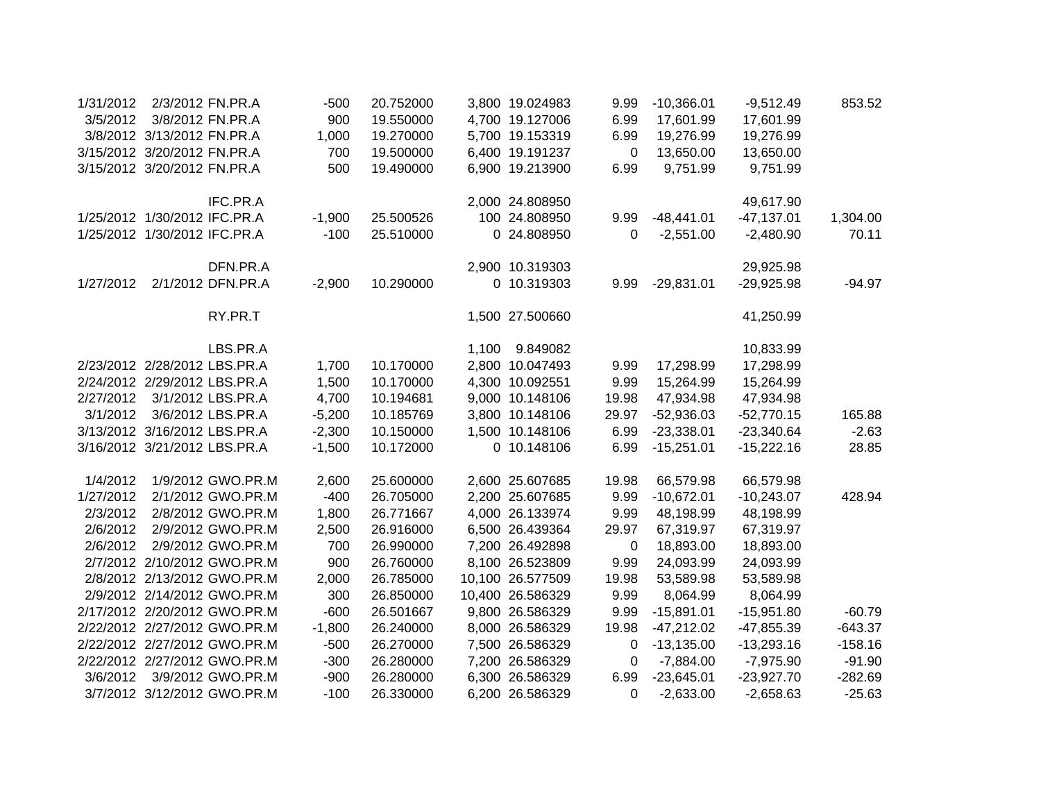| 1/31/2012 |                              | 2/3/2012 FN.PR.A             | $-500$   | 20.752000 |       | 3,800 19.024983  | 9.99        | $-10,366.01$ | $-9,512.49$  | 853.52    |
|-----------|------------------------------|------------------------------|----------|-----------|-------|------------------|-------------|--------------|--------------|-----------|
| 3/5/2012  |                              | 3/8/2012 FN.PR.A             | 900      | 19.550000 |       | 4,700 19.127006  | 6.99        | 17,601.99    | 17,601.99    |           |
|           | 3/8/2012 3/13/2012 FN.PR.A   |                              | 1,000    | 19.270000 |       | 5,700 19.153319  | 6.99        | 19,276.99    | 19,276.99    |           |
|           | 3/15/2012 3/20/2012 FN.PR.A  |                              | 700      | 19.500000 |       | 6,400 19.191237  | $\mathbf 0$ | 13,650.00    | 13,650.00    |           |
|           | 3/15/2012 3/20/2012 FN.PR.A  |                              | 500      | 19.490000 |       | 6,900 19.213900  | 6.99        | 9,751.99     | 9,751.99     |           |
|           |                              | IFC.PR.A                     |          |           |       | 2,000 24.808950  |             |              | 49,617.90    |           |
|           | 1/25/2012 1/30/2012 IFC.PR.A |                              | $-1,900$ | 25.500526 |       | 100 24.808950    | 9.99        | $-48,441.01$ | $-47,137.01$ | 1,304.00  |
|           | 1/25/2012 1/30/2012 IFC.PR.A |                              | $-100$   | 25.510000 |       | 0 24.808950      | 0           | $-2,551.00$  | $-2,480.90$  | 70.11     |
|           |                              | DFN.PR.A                     |          |           |       | 2,900 10.319303  |             |              | 29,925.98    |           |
| 1/27/2012 |                              | 2/1/2012 DFN.PR.A            | $-2,900$ | 10.290000 |       | 0 10.319303      | 9.99        | $-29,831.01$ | $-29,925.98$ | $-94.97$  |
|           |                              | RY.PR.T                      |          |           |       | 1,500 27.500660  |             |              | 41,250.99    |           |
|           |                              | LBS.PR.A                     |          |           | 1,100 | 9.849082         |             |              | 10,833.99    |           |
|           | 2/23/2012 2/28/2012 LBS.PR.A |                              | 1,700    | 10.170000 |       | 2,800 10.047493  | 9.99        | 17,298.99    | 17,298.99    |           |
|           | 2/24/2012 2/29/2012 LBS.PR.A |                              | 1,500    | 10.170000 |       | 4,300 10.092551  | 9.99        | 15,264.99    | 15,264.99    |           |
| 2/27/2012 |                              | 3/1/2012 LBS.PR.A            | 4,700    | 10.194681 |       | 9,000 10.148106  | 19.98       | 47,934.98    | 47,934.98    |           |
| 3/1/2012  |                              | 3/6/2012 LBS.PR.A            | $-5,200$ | 10.185769 |       | 3,800 10.148106  | 29.97       | $-52,936.03$ | $-52,770.15$ | 165.88    |
|           | 3/13/2012 3/16/2012 LBS.PR.A |                              | $-2,300$ | 10.150000 |       | 1,500 10.148106  | 6.99        | $-23,338.01$ | $-23,340.64$ | $-2.63$   |
|           | 3/16/2012 3/21/2012 LBS.PR.A |                              | $-1,500$ | 10.172000 |       | 0 10.148106      | 6.99        | $-15,251.01$ | $-15,222.16$ | 28.85     |
| 1/4/2012  |                              | 1/9/2012 GWO.PR.M            | 2,600    | 25.600000 |       | 2,600 25.607685  | 19.98       | 66,579.98    | 66,579.98    |           |
| 1/27/2012 |                              | 2/1/2012 GWO.PR.M            | $-400$   | 26.705000 |       | 2,200 25.607685  | 9.99        | $-10,672.01$ | $-10,243.07$ | 428.94    |
| 2/3/2012  |                              | 2/8/2012 GWO.PR.M            | 1,800    | 26.771667 |       | 4,000 26.133974  | 9.99        | 48,198.99    | 48,198.99    |           |
| 2/6/2012  |                              | 2/9/2012 GWO.PR.M            | 2,500    | 26.916000 |       | 6,500 26.439364  | 29.97       | 67,319.97    | 67,319.97    |           |
| 2/6/2012  |                              | 2/9/2012 GWO.PR.M            | 700      | 26.990000 |       | 7,200 26.492898  | 0           | 18,893.00    | 18,893.00    |           |
|           |                              | 2/7/2012 2/10/2012 GWO.PR.M  | 900      | 26.760000 |       | 8,100 26.523809  | 9.99        | 24,093.99    | 24,093.99    |           |
|           |                              | 2/8/2012 2/13/2012 GWO.PR.M  | 2,000    | 26.785000 |       | 10,100 26.577509 | 19.98       | 53,589.98    | 53,589.98    |           |
|           |                              | 2/9/2012 2/14/2012 GWO.PR.M  | 300      | 26.850000 |       | 10,400 26.586329 | 9.99        | 8,064.99     | 8,064.99     |           |
|           |                              | 2/17/2012 2/20/2012 GWO.PR.M | $-600$   | 26.501667 |       | 9,800 26.586329  | 9.99        | $-15,891.01$ | $-15,951.80$ | $-60.79$  |
|           |                              | 2/22/2012 2/27/2012 GWO.PR.M | $-1,800$ | 26.240000 |       | 8,000 26.586329  | 19.98       | $-47,212.02$ | $-47,855.39$ | $-643.37$ |
|           |                              | 2/22/2012 2/27/2012 GWO.PR.M | $-500$   | 26.270000 |       | 7,500 26.586329  | 0           | $-13,135.00$ | $-13,293.16$ | $-158.16$ |
|           |                              | 2/22/2012 2/27/2012 GWO.PR.M | $-300$   | 26.280000 |       | 7,200 26.586329  | 0           | $-7,884.00$  | $-7,975.90$  | $-91.90$  |
| 3/6/2012  |                              | 3/9/2012 GWO.PR.M            | $-900$   | 26.280000 |       | 6,300 26.586329  | 6.99        | $-23,645.01$ | $-23,927.70$ | $-282.69$ |
|           |                              | 3/7/2012 3/12/2012 GWO.PR.M  | $-100$   | 26.330000 |       | 6,200 26.586329  | $\Omega$    | $-2,633.00$  | $-2,658.63$  | $-25.63$  |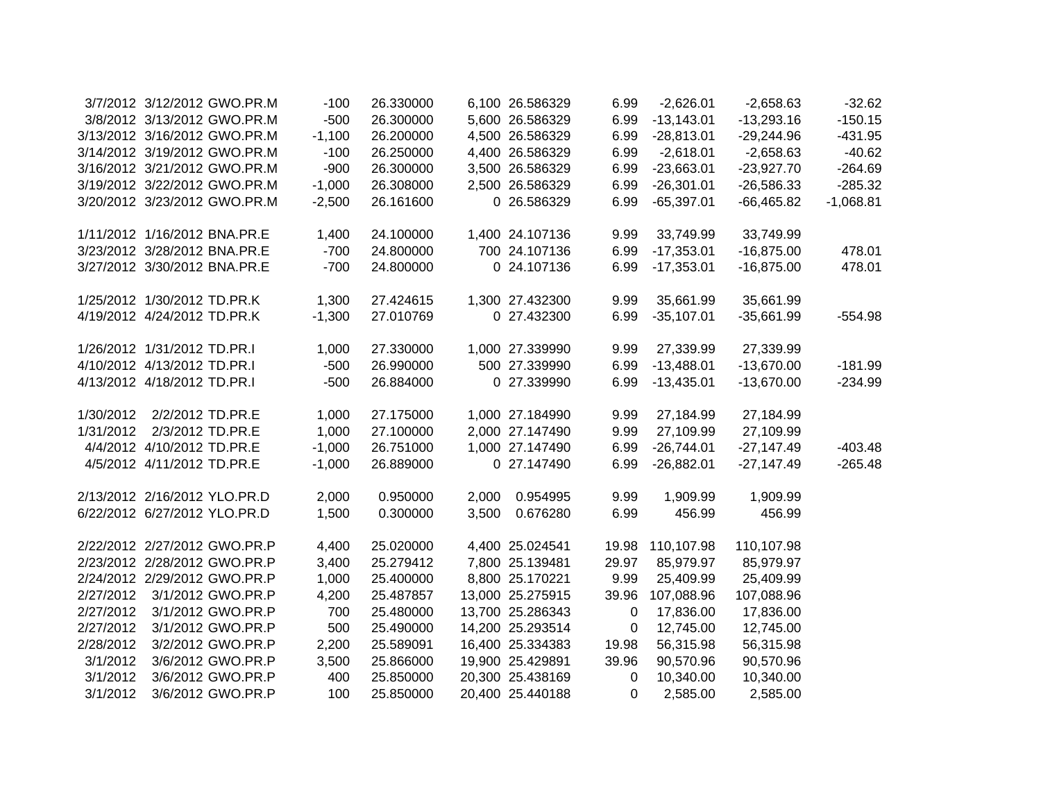|           | 3/7/2012 3/12/2012 GWO.PR.M  | $-100$   | 26.330000 |       | 6,100 26.586329  | 6.99  | $-2,626.01$  | $-2,658.63$  | $-32.62$    |
|-----------|------------------------------|----------|-----------|-------|------------------|-------|--------------|--------------|-------------|
|           | 3/8/2012 3/13/2012 GWO.PR.M  | $-500$   | 26.300000 |       | 5,600 26.586329  | 6.99  | $-13,143.01$ | $-13,293.16$ | $-150.15$   |
|           | 3/13/2012 3/16/2012 GWO.PR.M | $-1,100$ | 26.200000 |       | 4,500 26.586329  | 6.99  | $-28,813.01$ | $-29,244.96$ | $-431.95$   |
|           | 3/14/2012 3/19/2012 GWO.PR.M | $-100$   | 26.250000 |       | 4,400 26.586329  | 6.99  | $-2,618.01$  | $-2,658.63$  | $-40.62$    |
|           | 3/16/2012 3/21/2012 GWO.PR.M | $-900$   | 26.300000 |       | 3,500 26.586329  | 6.99  | $-23,663.01$ | $-23,927.70$ | $-264.69$   |
|           | 3/19/2012 3/22/2012 GWO.PR.M | $-1,000$ | 26.308000 |       | 2,500 26.586329  | 6.99  | $-26,301.01$ | $-26,586.33$ | $-285.32$   |
|           | 3/20/2012 3/23/2012 GWO.PR.M | $-2,500$ | 26.161600 |       | 0 26.586329      | 6.99  | $-65,397.01$ | $-66,465.82$ | $-1,068.81$ |
|           | 1/11/2012 1/16/2012 BNA.PR.E | 1,400    | 24.100000 |       | 1,400 24.107136  | 9.99  | 33,749.99    | 33,749.99    |             |
|           | 3/23/2012 3/28/2012 BNA.PR.E | $-700$   | 24.800000 |       | 700 24.107136    | 6.99  | $-17,353.01$ | $-16,875.00$ | 478.01      |
|           | 3/27/2012 3/30/2012 BNA.PR.E | $-700$   | 24.800000 |       | 0 24.107136      | 6.99  | $-17,353.01$ | $-16,875.00$ | 478.01      |
|           | 1/25/2012 1/30/2012 TD.PR.K  | 1,300    | 27.424615 |       | 1,300 27.432300  | 9.99  | 35,661.99    | 35,661.99    |             |
|           | 4/19/2012 4/24/2012 TD.PR.K  | $-1,300$ | 27.010769 |       | 0 27.432300      | 6.99  | $-35,107.01$ | $-35,661.99$ | $-554.98$   |
|           | 1/26/2012 1/31/2012 TD.PR.I  | 1,000    | 27.330000 |       | 1,000 27.339990  | 9.99  | 27,339.99    | 27,339.99    |             |
|           | 4/10/2012 4/13/2012 TD.PR.I  | $-500$   | 26.990000 |       | 500 27.339990    | 6.99  | $-13,488.01$ | $-13,670.00$ | $-181.99$   |
|           | 4/13/2012 4/18/2012 TD.PR.I  | $-500$   | 26.884000 |       | 0 27.339990      | 6.99  | $-13,435.01$ | $-13,670.00$ | $-234.99$   |
| 1/30/2012 | 2/2/2012 TD.PR.E             | 1,000    | 27.175000 |       | 1,000 27.184990  | 9.99  | 27,184.99    | 27,184.99    |             |
| 1/31/2012 | 2/3/2012 TD.PR.E             | 1,000    | 27.100000 |       | 2,000 27.147490  | 9.99  | 27,109.99    | 27,109.99    |             |
|           | 4/4/2012 4/10/2012 TD.PR.E   | $-1,000$ | 26.751000 |       | 1,000 27.147490  | 6.99  | $-26,744.01$ | $-27,147.49$ | $-403.48$   |
|           | 4/5/2012 4/11/2012 TD.PR.E   | $-1,000$ | 26.889000 |       | 0 27.147490      | 6.99  | $-26,882.01$ | $-27,147.49$ | $-265.48$   |
|           | 2/13/2012 2/16/2012 YLO.PR.D | 2,000    | 0.950000  | 2,000 | 0.954995         | 9.99  | 1,909.99     | 1,909.99     |             |
|           | 6/22/2012 6/27/2012 YLO.PR.D | 1,500    | 0.300000  | 3,500 | 0.676280         | 6.99  | 456.99       | 456.99       |             |
|           | 2/22/2012 2/27/2012 GWO.PR.P | 4,400    | 25.020000 |       | 4,400 25.024541  | 19.98 | 110,107.98   | 110,107.98   |             |
|           | 2/23/2012 2/28/2012 GWO.PR.P | 3,400    | 25.279412 |       | 7,800 25.139481  | 29.97 | 85,979.97    | 85,979.97    |             |
|           | 2/24/2012 2/29/2012 GWO.PR.P | 1,000    | 25.400000 |       | 8,800 25.170221  | 9.99  | 25,409.99    | 25,409.99    |             |
| 2/27/2012 | 3/1/2012 GWO.PR.P            | 4,200    | 25.487857 |       | 13,000 25.275915 | 39.96 | 107,088.96   | 107,088.96   |             |
| 2/27/2012 | 3/1/2012 GWO.PR.P            | 700      | 25.480000 |       | 13,700 25.286343 | 0     | 17,836.00    | 17,836.00    |             |
| 2/27/2012 | 3/1/2012 GWO.PR.P            | 500      | 25.490000 |       | 14,200 25.293514 | 0     | 12,745.00    | 12,745.00    |             |
| 2/28/2012 | 3/2/2012 GWO.PR.P            | 2,200    | 25.589091 |       | 16,400 25.334383 | 19.98 | 56,315.98    | 56,315.98    |             |
| 3/1/2012  | 3/6/2012 GWO.PR.P            | 3,500    | 25.866000 |       | 19,900 25.429891 | 39.96 | 90,570.96    | 90,570.96    |             |
| 3/1/2012  | 3/6/2012 GWO.PR.P            | 400      | 25.850000 |       | 20,300 25.438169 | 0     | 10,340.00    | 10,340.00    |             |
| 3/1/2012  | 3/6/2012 GWO.PR.P            | 100      | 25.850000 |       | 20,400 25.440188 | 0     | 2,585.00     | 2,585.00     |             |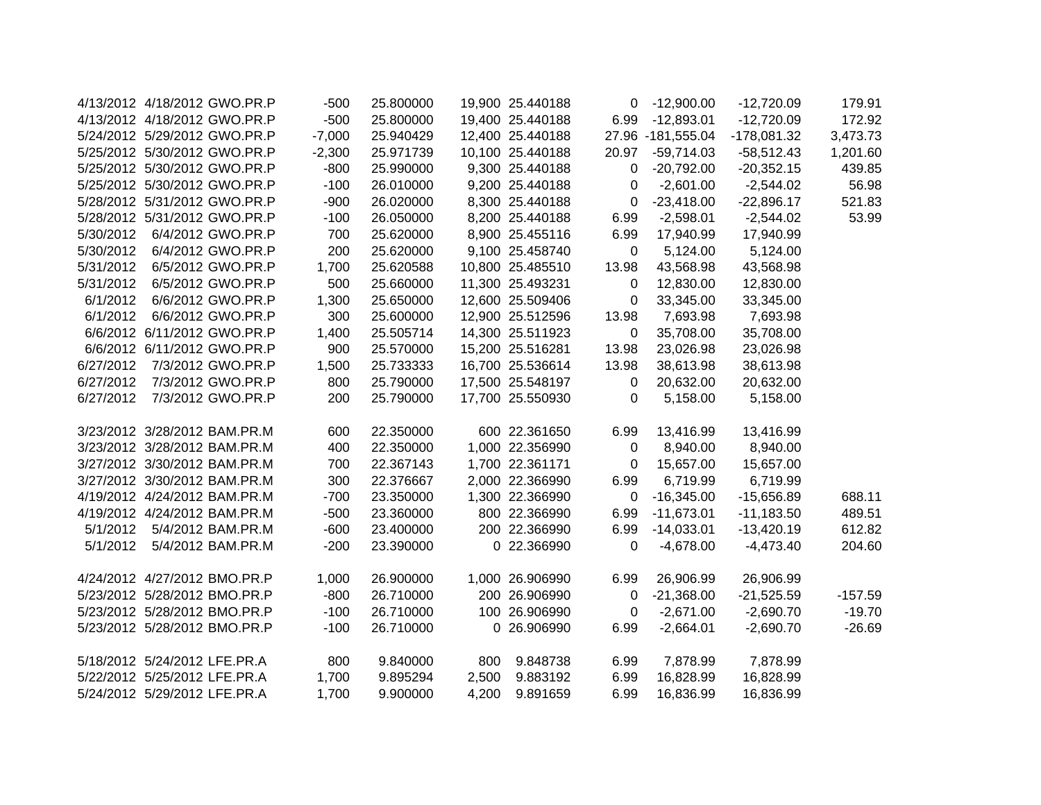|           | 4/13/2012 4/18/2012 GWO.PR.P | $-500$   | 25.800000 |       | 19,900 25.440188 | $\mathbf 0$  | $-12,900.00$      | $-12,720.09$  | 179.91    |
|-----------|------------------------------|----------|-----------|-------|------------------|--------------|-------------------|---------------|-----------|
|           | 4/13/2012 4/18/2012 GWO.PR.P | $-500$   | 25.800000 |       | 19,400 25.440188 | 6.99         | $-12,893.01$      | $-12,720.09$  | 172.92    |
|           | 5/24/2012 5/29/2012 GWO.PR.P | $-7,000$ | 25.940429 |       | 12,400 25.440188 |              | 27.96 -181,555.04 | $-178,081.32$ | 3,473.73  |
|           | 5/25/2012 5/30/2012 GWO.PR.P | $-2,300$ | 25.971739 |       | 10,100 25.440188 | 20.97        | $-59,714.03$      | $-58,512.43$  | 1,201.60  |
|           | 5/25/2012 5/30/2012 GWO.PR.P | $-800$   | 25.990000 |       | 9,300 25.440188  | 0            | $-20,792.00$      | $-20,352.15$  | 439.85    |
|           | 5/25/2012 5/30/2012 GWO.PR.P | $-100$   | 26.010000 |       | 9,200 25.440188  | 0            | $-2,601.00$       | $-2,544.02$   | 56.98     |
|           | 5/28/2012 5/31/2012 GWO.PR.P | $-900$   | 26.020000 |       | 8,300 25.440188  | 0            | $-23,418.00$      | $-22,896.17$  | 521.83    |
|           | 5/28/2012 5/31/2012 GWO.PR.P | $-100$   | 26.050000 |       | 8,200 25.440188  | 6.99         | $-2,598.01$       | $-2,544.02$   | 53.99     |
| 5/30/2012 | 6/4/2012 GWO.PR.P            | 700      | 25.620000 |       | 8,900 25.455116  | 6.99         | 17,940.99         | 17,940.99     |           |
| 5/30/2012 | 6/4/2012 GWO.PR.P            | 200      | 25.620000 |       | 9,100 25.458740  | $\mathbf 0$  | 5,124.00          | 5,124.00      |           |
| 5/31/2012 | 6/5/2012 GWO.PR.P            | 1,700    | 25.620588 |       | 10,800 25.485510 | 13.98        | 43,568.98         | 43,568.98     |           |
| 5/31/2012 | 6/5/2012 GWO.PR.P            | 500      | 25.660000 |       | 11,300 25.493231 | 0            | 12,830.00         | 12,830.00     |           |
| 6/1/2012  | 6/6/2012 GWO.PR.P            | 1,300    | 25.650000 |       | 12,600 25.509406 | 0            | 33,345.00         | 33,345.00     |           |
| 6/1/2012  | 6/6/2012 GWO.PR.P            | 300      | 25.600000 |       | 12,900 25.512596 | 13.98        | 7,693.98          | 7,693.98      |           |
|           | 6/6/2012 6/11/2012 GWO.PR.P  | 1,400    | 25.505714 |       | 14,300 25.511923 | 0            | 35,708.00         | 35,708.00     |           |
|           | 6/6/2012 6/11/2012 GWO.PR.P  | 900      | 25.570000 |       | 15,200 25.516281 | 13.98        | 23,026.98         | 23,026.98     |           |
| 6/27/2012 | 7/3/2012 GWO.PR.P            | 1,500    | 25.733333 |       | 16,700 25.536614 | 13.98        | 38,613.98         | 38,613.98     |           |
| 6/27/2012 | 7/3/2012 GWO.PR.P            | 800      | 25.790000 |       | 17,500 25.548197 | $\mathbf{0}$ | 20,632.00         | 20,632.00     |           |
| 6/27/2012 | 7/3/2012 GWO.PR.P            | 200      | 25.790000 |       | 17,700 25.550930 | $\mathbf 0$  | 5,158.00          | 5,158.00      |           |
|           | 3/23/2012 3/28/2012 BAM.PR.M | 600      | 22.350000 |       | 600 22.361650    | 6.99         | 13,416.99         | 13,416.99     |           |
|           | 3/23/2012 3/28/2012 BAM.PR.M | 400      | 22.350000 |       | 1,000 22.356990  | 0            | 8,940.00          | 8,940.00      |           |
|           | 3/27/2012 3/30/2012 BAM.PR.M | 700      | 22.367143 |       | 1,700 22.361171  | $\mathbf 0$  | 15,657.00         | 15,657.00     |           |
|           | 3/27/2012 3/30/2012 BAM.PR.M | 300      | 22.376667 |       | 2,000 22.366990  | 6.99         | 6,719.99          | 6,719.99      |           |
|           | 4/19/2012 4/24/2012 BAM.PR.M | $-700$   | 23.350000 |       | 1,300 22.366990  | 0            | $-16,345.00$      | $-15,656.89$  | 688.11    |
|           | 4/19/2012 4/24/2012 BAM.PR.M | $-500$   | 23.360000 |       | 800 22.366990    | 6.99         | $-11,673.01$      | $-11,183.50$  | 489.51    |
| 5/1/2012  | 5/4/2012 BAM.PR.M            | $-600$   | 23.400000 |       | 200 22.366990    | 6.99         | $-14,033.01$      | $-13,420.19$  | 612.82    |
| 5/1/2012  | 5/4/2012 BAM.PR.M            | $-200$   | 23.390000 |       | 0 22.366990      | $\mathbf 0$  | $-4,678.00$       | $-4,473.40$   | 204.60    |
|           | 4/24/2012 4/27/2012 BMO.PR.P | 1,000    | 26.900000 |       | 1,000 26.906990  | 6.99         | 26,906.99         | 26,906.99     |           |
|           | 5/23/2012 5/28/2012 BMO.PR.P | $-800$   | 26.710000 |       | 200 26.906990    | 0            | $-21,368.00$      | $-21,525.59$  | $-157.59$ |
|           | 5/23/2012 5/28/2012 BMO.PR.P | $-100$   | 26.710000 |       | 100 26.906990    | $\mathbf 0$  | $-2,671.00$       | $-2,690.70$   | $-19.70$  |
|           | 5/23/2012 5/28/2012 BMO.PR.P | $-100$   | 26.710000 |       | 0 26.906990      | 6.99         | $-2,664.01$       | $-2,690.70$   | $-26.69$  |
|           | 5/18/2012 5/24/2012 LFE.PR.A | 800      | 9.840000  | 800   | 9.848738         | 6.99         | 7,878.99          | 7,878.99      |           |
|           | 5/22/2012 5/25/2012 LFE.PR.A | 1,700    | 9.895294  | 2,500 | 9.883192         | 6.99         | 16,828.99         | 16,828.99     |           |
|           | 5/24/2012 5/29/2012 LFE.PR.A | 1,700    | 9.900000  | 4,200 | 9.891659         | 6.99         | 16,836.99         | 16,836.99     |           |